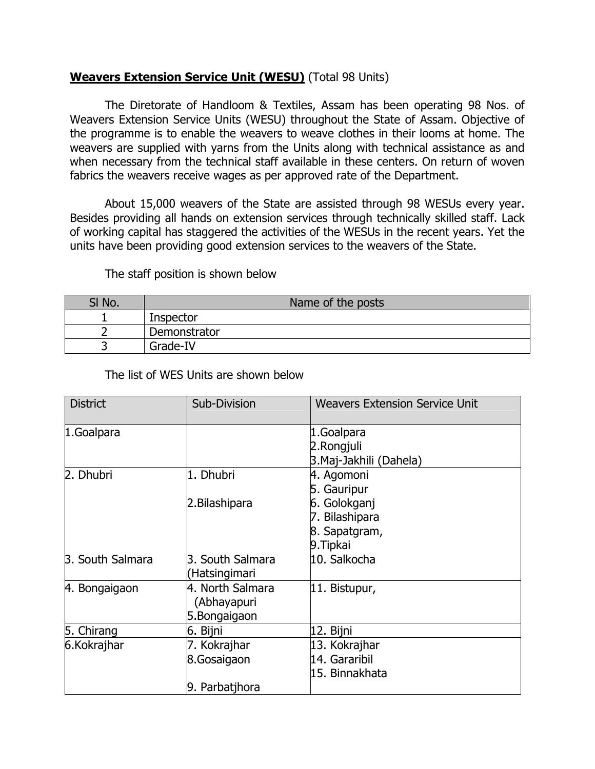## **Weavers Extension Service Unit (WESU)** (Total 98 Units)

 The Diretorate of Handloom & Textiles, Assam has been operating 98 Nos. of Weavers Extension Service Units (WESU) throughout the State of Assam. Objective of the programme is to enable the weavers to weave clothes in their looms at home. The weavers are supplied with yarns from the Units along with technical assistance as and when necessary from the technical staff available in these centers. On return of woven fabrics the weavers receive wages as per approved rate of the Department.

 About 15,000 weavers of the State are assisted through 98 WESUs every year. Besides providing all hands on extension services through technically skilled staff. Lack of working capital has staggered the activities of the WESUs in the recent years. Yet the units have been providing good extension services to the weavers of the State.

## The staff position is shown below

| SI No. | Name of the posts |
|--------|-------------------|
|        | Inspector         |
|        | Demonstrator      |
|        | Grade-IV          |

The list of WES Units are shown below

| <b>District</b>         | Sub-Division     | <b>Weavers Extension Service Unit</b> |
|-------------------------|------------------|---------------------------------------|
| 1.Goalpara              |                  | 1.Goalpara                            |
|                         |                  | 2.Rongjuli                            |
|                         |                  | 3. Maj-Jakhili (Dahela)               |
| 2. Dhubri               | 1. Dhubri        | 4. Agomoni                            |
|                         |                  | 5. Gauripur                           |
|                         | 2. Bilashipara   | 6. Golokganj                          |
|                         |                  | 7. Bilashipara                        |
|                         |                  | 8. Sapatgram,                         |
|                         |                  | 9. Tipkai                             |
| <b>3. South Salmara</b> | 3. South Salmara | 10. Salkocha                          |
|                         | Hatsingimari)    |                                       |
| 4. Bongaigaon           | 4. North Salmara | 11. Bistupur,                         |
|                         | (Abhayapuri      |                                       |
|                         | 5.Bongaigaon     |                                       |
| 5. Chirang              | 6. Bijni         | 12. Bijni                             |
| 6.Kokrajhar             | 7. Kokrajhar     | 13. Kokrajhar                         |
|                         | 8.Gosaigaon      | 14. Gararibil                         |
|                         |                  | 15. Binnakhata                        |
|                         | 9. Parbatjhora   |                                       |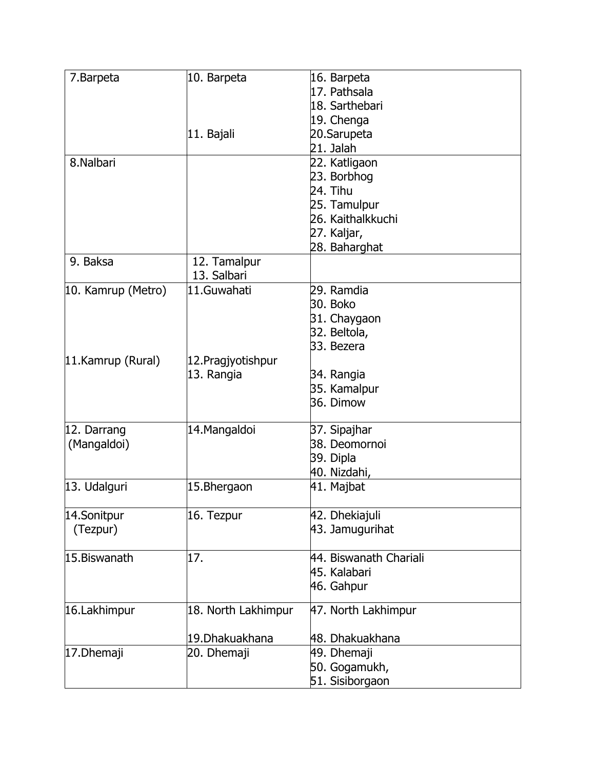| 7. Barpeta         | 10. Barpeta         | 16. Barpeta            |
|--------------------|---------------------|------------------------|
|                    |                     | 17. Pathsala           |
|                    |                     | 18. Sarthebari         |
|                    |                     | 19. Chenga             |
|                    | 11. Bajali          | 20.Sarupeta            |
|                    |                     | 21. Jalah              |
| 8.Nalbari          |                     | 22. Katligaon          |
|                    |                     | 23. Borbhog            |
|                    |                     | 24. Tihu               |
|                    |                     | 25. Tamulpur           |
|                    |                     | 26. Kaithalkkuchi      |
|                    |                     | 27. Kaljar,            |
|                    |                     | 28. Baharghat          |
| 9. Baksa           | 12. Tamalpur        |                        |
|                    | 13. Salbari         |                        |
| 10. Kamrup (Metro) | 11.Guwahati         | 29. Ramdia             |
|                    |                     | 30. Boko               |
|                    |                     | 31. Chaygaon           |
|                    |                     | 32. Beltola,           |
|                    |                     | 33. Bezera             |
| 11.Kamrup (Rural)  | 12. Pragjyotishpur  |                        |
|                    | 13. Rangia          | 34. Rangia             |
|                    |                     | 35. Kamalpur           |
|                    |                     | 36. Dimow              |
|                    |                     |                        |
| 12. Darrang        | 14. Mangaldoi       | 37. Sipajhar           |
| (Mangaldoi)        |                     | 38. Deomornoi          |
|                    |                     | 39. Dipla              |
|                    |                     | 40. Nizdahi,           |
| 13. Udalguri       | 15.Bhergaon         | 41. Majbat             |
|                    |                     |                        |
| 14.Sonitpur        | 16. Tezpur          | 42. Dhekiajuli         |
| (Tezpur)           |                     | 43. Jamugurihat        |
|                    |                     |                        |
| 15.Biswanath       | 17.                 | 44. Biswanath Chariali |
|                    |                     | 45. Kalabari           |
|                    |                     | 46. Gahpur             |
|                    |                     |                        |
| 16.Lakhimpur       | 18. North Lakhimpur | 47. North Lakhimpur    |
|                    | 19. Dhakuakhana     | 48. Dhakuakhana        |
| 17. Dhemaji        | 20. Dhemaji         | 49. Dhemaji            |
|                    |                     | 50. Gogamukh,          |
|                    |                     |                        |
|                    |                     | 51. Sisiborgaon        |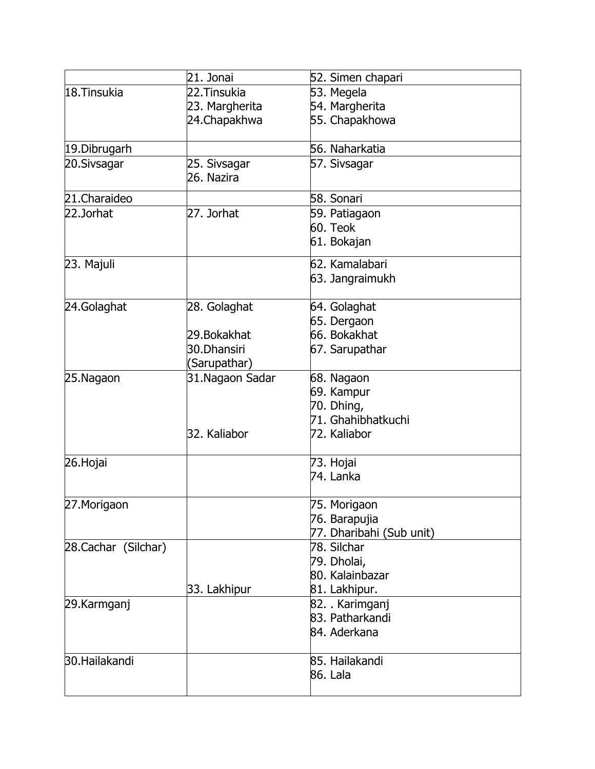|                      | 21. Jonai       | 52. Simen chapari        |
|----------------------|-----------------|--------------------------|
| 18. Tinsukia         | 22. Tinsukia    | 53. Megela               |
|                      | 23. Margherita  | 54. Margherita           |
|                      | 24.Chapakhwa    | 55. Chapakhowa           |
| 19. Dibrugarh        |                 | 56. Naharkatia           |
| 20.Sivsagar          | 25. Sivsagar    | 57. Sivsagar             |
|                      | 26. Nazira      |                          |
| 21.Charaideo         |                 | 58. Sonari               |
| 22.Jorhat            | 27. Jorhat      | 59. Patiagaon            |
|                      |                 | 60. Teok                 |
|                      |                 | 61. Bokajan              |
| 23. Majuli           |                 | 62. Kamalabari           |
|                      |                 | 63. Jangraimukh          |
| 24.Golaghat          | 28. Golaghat    | 64. Golaghat             |
|                      |                 | 65. Dergaon              |
|                      | 29. Bokakhat    | 66. Bokakhat             |
|                      | 30.Dhansiri     | 67. Sarupathar           |
|                      | (Sarupathar)    |                          |
| 25.Nagaon            | 31.Nagaon Sadar | 68. Nagaon               |
|                      |                 | 69. Kampur               |
|                      |                 | 70. Dhing,               |
|                      |                 | 71. Ghahibhatkuchi       |
|                      | 32. Kaliabor    | 72. Kaliabor             |
| 26.Hojai             |                 | 73. Hojai                |
|                      |                 | 74. Lanka                |
| 27. Morigaon         |                 | 75. Morigaon             |
|                      |                 | 76. Barapujia            |
|                      |                 | 77. Dharibahi (Sub unit) |
| 28. Cachar (Silchar) |                 | 78. Silchar              |
|                      |                 | 79. Dholai,              |
|                      |                 | 80. Kalainbazar          |
|                      | 33. Lakhipur    | 81. Lakhipur.            |
| 29.Karmganj          |                 | 82. . Karimganj          |
|                      |                 | 83. Patharkandi          |
|                      |                 | 84. Aderkana             |
| 30.Hailakandi        |                 | 85. Hailakandi           |
|                      |                 | 86. Lala                 |
|                      |                 |                          |